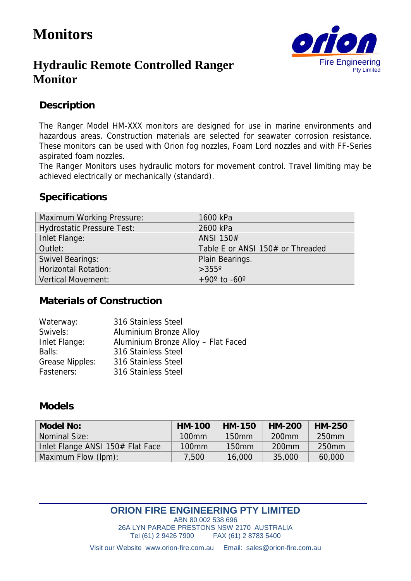# **Monitors**



# **Hydraulic Remote Controlled Ranger Monitor**

#### **Description**

The Ranger Model HM-XXX monitors are designed for use in marine environments and hazardous areas. Construction materials are selected for seawater corrosion resistance. These monitors can be used with Orion fog nozzles, Foam Lord nozzles and with FF-Series aspirated foam nozzles.

The Ranger Monitors uses hydraulic motors for movement control. Travel limiting may be achieved electrically or mechanically (standard).

#### **Specifications**

| <b>Maximum Working Pressure:</b>  | 1600 kPa                         |
|-----------------------------------|----------------------------------|
| <b>Hydrostatic Pressure Test:</b> | 2600 kPa                         |
| Inlet Flange:                     | ANSI 150#                        |
| Outlet:                           | Table E or ANSI 150# or Threaded |
| <b>Swivel Bearings:</b>           | Plain Bearings.                  |
| <b>Horizontal Rotation:</b>       | $>355^\circ$                     |
| <b>Vertical Movement:</b>         | $+90^{\circ}$ to $-60^{\circ}$   |

#### **Materials of Construction**

| Waterway:              | 316 Stainless Steel                 |
|------------------------|-------------------------------------|
| Swivels:               | Aluminium Bronze Alloy              |
| Inlet Flange:          | Aluminium Bronze Alloy - Flat Faced |
| Balls:                 | 316 Stainless Steel                 |
| <b>Grease Nipples:</b> | 316 Stainless Steel                 |
| Fasteners:             | 316 Stainless Steel                 |

#### **Models**

| Model No:                        | HM-100            | HM-150            | HM-200            | HM-250            |
|----------------------------------|-------------------|-------------------|-------------------|-------------------|
| Nominal Size:                    | $100$ mm          | $150$ mm          | 200 <sub>mm</sub> | 250 <sub>mm</sub> |
| Inlet Flange ANSI 150# Flat Face | 100 <sub>mm</sub> | 150 <sub>mm</sub> | 200 <sub>mm</sub> | 250 <sub>mm</sub> |
| Maximum Flow (lpm):              | 7,500             | 16,000            | 35,000            | 60,000            |

#### **ORION FIRE ENGINEERING PTY LIMITED**

ABN 80 002 538 696 26A LYN PARADE PRESTONS NSW 2170 AUSTRALIA Tel (61) 2 9426 7900 FAX (61) 2 8783 5400

Visit our Website www.orion-fire.com.au Email: sales@orion-fire.com.au